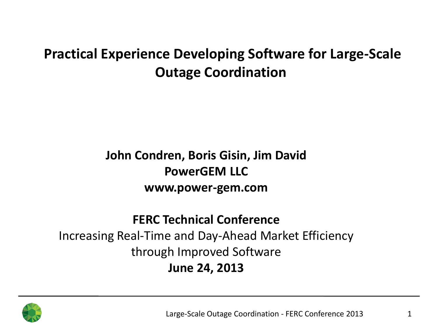#### **Practical Experience Developing Software for Large-Scale Outage Coordination**

#### **John Condren, Boris Gisin, Jim David PowerGEM LLC www.power-gem.com**

#### **FERC Technical Conference** Increasing Real-Time and Day-Ahead Market Efficiency through Improved Software

#### **June 24, 2013**

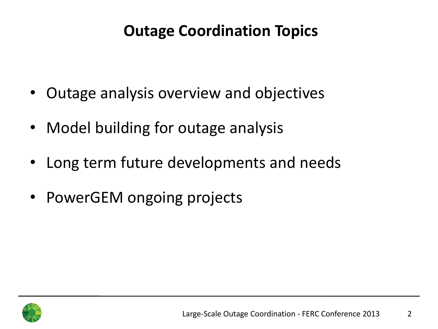## **Outage Coordination Topics**

- Outage analysis overview and objectives
- Model building for outage analysis
- Long term future developments and needs
- PowerGEM ongoing projects

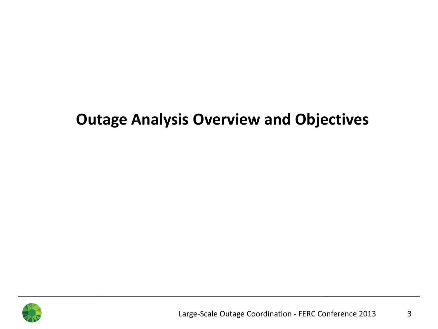#### **Outage Analysis Overview and Objectives**

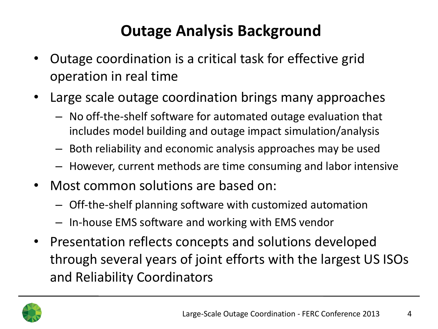# **Outage Analysis Background**

- Outage coordination is a critical task for effective grid operation in real time
- Large scale outage coordination brings many approaches
	- No off-the-shelf software for automated outage evaluation that includes model building and outage impact simulation/analysis
	- Both reliability and economic analysis approaches may be used
	- However, current methods are time consuming and labor intensive
- Most common solutions are based on:
	- Off-the-shelf planning software with customized automation
	- In-house EMS software and working with EMS vendor
- Presentation reflects concepts and solutions developed through several years of joint efforts with the largest US ISOs and Reliability Coordinators

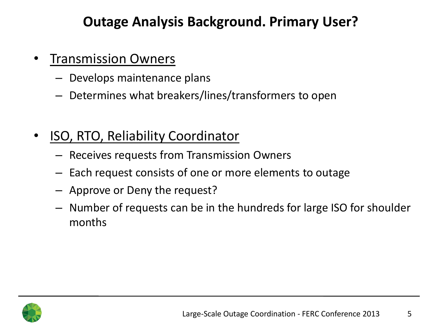#### **Outage Analysis Background. Primary User?**

- **Transmission Owners** 
	- Develops maintenance plans
	- Determines what breakers/lines/transformers to open
- ISO, RTO, Reliability Coordinator
	- Receives requests from Transmission Owners
	- Each request consists of one or more elements to outage
	- Approve or Deny the request?
	- Number of requests can be in the hundreds for large ISO for shoulder months

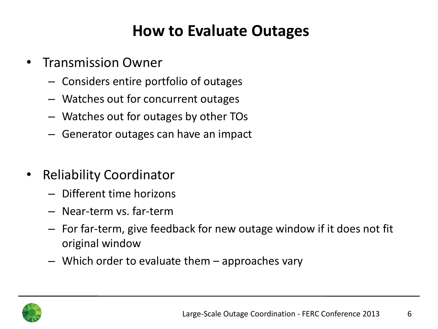### **How to Evaluate Outages**

- Transmission Owner
	- Considers entire portfolio of outages
	- Watches out for concurrent outages
	- Watches out for outages by other TOs
	- Generator outages can have an impact
- Reliability Coordinator
	- Different time horizons
	- Near-term vs. far-term
	- For far-term, give feedback for new outage window if it does not fit original window
	- Which order to evaluate them approaches vary

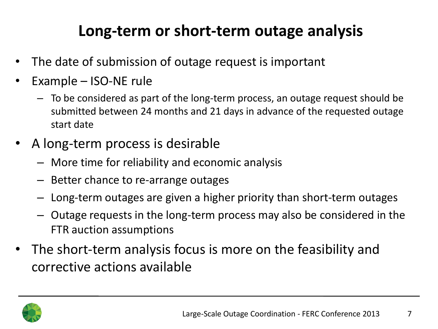# **Long-term or short-term outage analysis**

- The date of submission of outage request is important
- Example ISO-NE rule
	- To be considered as part of the long-term process, an outage request should be submitted between 24 months and 21 days in advance of the requested outage start date
- A long-term process is desirable
	- More time for reliability and economic analysis
	- Better chance to re-arrange outages
	- Long-term outages are given a higher priority than short-term outages
	- Outage requests in the long-term process may also be considered in the FTR auction assumptions
- The short-term analysis focus is more on the feasibility and corrective actions available

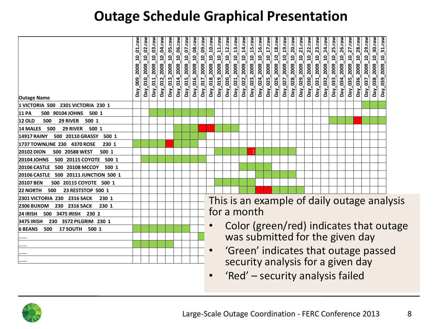#### **Outage Schedule Graphical Presentation**

| <b>Outage Name</b>                           | 01.raw<br>ទ<br>2009<br>800<br>Day. | 2009 10 02.raw<br>Day_010 | 2009_10_03.raw<br>$-011$<br>Day_ | 04.raw<br>10 <sub>1</sub><br>2009<br>Day_012 | 05.raw<br><u>ទ</u><br>2009<br>Day_013_ | $06$ .raw<br>$\overline{a}$<br>2009<br>014<br>$\overline{\mathsf{p}}$ ay_ | $07$ .raw<br>$\overline{a}$<br>2009<br>015<br>Day_ | $08$ .raw<br>$\mathbf{q}$<br>2009<br>016<br>Day. | $09$ .raw<br>$\mathbf{a}$<br>2009<br>017<br>Day. | 2009_10_10.raw<br>Day_018 | $10$ 11.raw<br>2009<br>Day_019_                                         | 2009 10 12.raw<br>Day_020_       | $13$ .raw<br>$\overline{a}$<br>2009<br>021<br>Day<br>_ | 14.raw<br>$\overline{a}$<br>2009<br>$-022$<br>$\overline{P}$ | $15$ .raw<br>$\mathbf{a}$<br>2009<br>Day_023_ | $16$ .rav<br>ទុ<br>2009<br>024<br>$NeO$ | $17$ .raw<br>å<br>2009<br>025<br>Day. | 18.raw<br>$\mathbf{a}$<br>2009<br>026<br>Day. | $10_{-}19$ .raw<br>2009<br>027<br>Day | 10 20. raw<br>2009<br>Day_028_ | 2009_10_21.raw<br>Day_029_ | $22$ .raw<br>Day_030_2009_10 | $23$ .raw<br>2009 10<br>Day_031_ | 24.raw<br>Day_032_2009_10 | $25$ .raw<br>$\overline{a}$<br>2009<br>Day_033_ | $26$ .raw<br><u>ទ</u><br>2009<br>034<br>$\mathbf{p}_{\mathbf{a} \mathbf{y}}$ | 27.raw<br>$\mathbf{a}$<br>2009<br>035<br>Day_ | 28.raw<br>$\mathbf{a}$<br>2009<br><b>96</b><br>Day. | 29.raw<br>$\mathbf{a}$<br>2009<br>037<br>Day. | 2009_10_30.raw<br>Day_038_ | 31.raw<br>$\mathbf{q}$<br>2009<br>$-039$<br>Day. |  |
|----------------------------------------------|------------------------------------|---------------------------|----------------------------------|----------------------------------------------|----------------------------------------|---------------------------------------------------------------------------|----------------------------------------------------|--------------------------------------------------|--------------------------------------------------|---------------------------|-------------------------------------------------------------------------|----------------------------------|--------------------------------------------------------|--------------------------------------------------------------|-----------------------------------------------|-----------------------------------------|---------------------------------------|-----------------------------------------------|---------------------------------------|--------------------------------|----------------------------|------------------------------|----------------------------------|---------------------------|-------------------------------------------------|------------------------------------------------------------------------------|-----------------------------------------------|-----------------------------------------------------|-----------------------------------------------|----------------------------|--------------------------------------------------|--|
| 1 VICTORIA 500 2301 VICTORIA 230 1           |                                    |                           |                                  |                                              |                                        |                                                                           |                                                    |                                                  |                                                  |                           |                                                                         |                                  |                                                        |                                                              |                                               |                                         |                                       |                                               |                                       |                                |                            |                              |                                  |                           |                                                 |                                                                              |                                               |                                                     |                                               |                            |                                                  |  |
| 500 90104 JOHNS 500 1<br><b>11 PA</b>        |                                    |                           |                                  |                                              |                                        |                                                                           |                                                    |                                                  |                                                  |                           |                                                                         |                                  |                                                        |                                                              |                                               |                                         |                                       |                                               |                                       |                                |                            |                              |                                  |                           |                                                 |                                                                              |                                               |                                                     |                                               |                            |                                                  |  |
| <b>12 OLD</b><br>29 RIVER 500 1<br>500       |                                    |                           |                                  |                                              |                                        |                                                                           |                                                    |                                                  |                                                  |                           |                                                                         |                                  |                                                        |                                                              |                                               |                                         |                                       |                                               |                                       |                                |                            |                              |                                  |                           |                                                 |                                                                              |                                               |                                                     |                                               |                            |                                                  |  |
| 14 MALES<br>500<br>29 RIVER 500 1            |                                    |                           |                                  |                                              |                                        |                                                                           |                                                    |                                                  |                                                  |                           |                                                                         |                                  |                                                        |                                                              |                                               |                                         |                                       |                                               |                                       |                                |                            |                              |                                  |                           |                                                 |                                                                              |                                               |                                                     |                                               |                            |                                                  |  |
| 500 20110 GRASSY 500 1<br><b>14917 RAINY</b> |                                    |                           |                                  |                                              |                                        |                                                                           |                                                    |                                                  |                                                  |                           |                                                                         |                                  |                                                        |                                                              |                                               |                                         |                                       |                                               |                                       |                                |                            |                              |                                  |                           |                                                 |                                                                              |                                               |                                                     |                                               |                            |                                                  |  |
| 1737 TOWNLINE 230 4370 ROSE<br>230 1         |                                    |                           |                                  |                                              |                                        |                                                                           |                                                    |                                                  |                                                  |                           |                                                                         |                                  |                                                        |                                                              |                                               |                                         |                                       |                                               |                                       |                                |                            |                              |                                  |                           |                                                 |                                                                              |                                               |                                                     |                                               |                            |                                                  |  |
| <b>20102 DION</b><br>500 20588 WEST<br>500 1 |                                    |                           |                                  |                                              |                                        |                                                                           |                                                    |                                                  |                                                  |                           |                                                                         |                                  |                                                        |                                                              |                                               |                                         |                                       |                                               |                                       |                                |                            |                              |                                  |                           |                                                 |                                                                              |                                               |                                                     |                                               |                            |                                                  |  |
| 500 20115 COYOTE 500 1<br><b>20104 JOHNS</b> |                                    |                           |                                  |                                              |                                        |                                                                           |                                                    |                                                  |                                                  |                           |                                                                         |                                  |                                                        |                                                              |                                               |                                         |                                       |                                               |                                       |                                |                            |                              |                                  |                           |                                                 |                                                                              |                                               |                                                     |                                               |                            |                                                  |  |
| 20106 CASTLE 500 20108 MCCOY<br>500 1        |                                    |                           |                                  |                                              |                                        |                                                                           |                                                    |                                                  |                                                  |                           |                                                                         |                                  |                                                        |                                                              |                                               |                                         |                                       |                                               |                                       |                                |                            |                              |                                  |                           |                                                 |                                                                              |                                               |                                                     |                                               |                            |                                                  |  |
| 20106 CASTLE 500 20111 JUNCTION 500 1        |                                    |                           |                                  |                                              |                                        |                                                                           |                                                    |                                                  |                                                  |                           |                                                                         |                                  |                                                        |                                                              |                                               |                                         |                                       |                                               |                                       |                                |                            |                              |                                  |                           |                                                 |                                                                              |                                               |                                                     |                                               |                            |                                                  |  |
| 20107 BEN<br>500 20115 COYOTE 500 1          |                                    |                           |                                  |                                              |                                        |                                                                           |                                                    |                                                  |                                                  |                           |                                                                         |                                  |                                                        |                                                              |                                               |                                         |                                       |                                               |                                       |                                |                            |                              |                                  |                           |                                                 |                                                                              |                                               |                                                     |                                               |                            |                                                  |  |
| 23 RESTSTOP 500 1<br><b>22 NORTH</b><br>500  |                                    |                           |                                  |                                              |                                        |                                                                           |                                                    |                                                  |                                                  |                           |                                                                         |                                  |                                                        |                                                              |                                               |                                         |                                       |                                               |                                       |                                |                            |                              |                                  |                           |                                                 |                                                                              |                                               |                                                     |                                               |                            |                                                  |  |
| 2301 VICTORIA 230 2316 SACK<br>230 1         |                                    |                           |                                  |                                              |                                        |                                                                           |                                                    |                                                  |                                                  |                           | This is an example of daily outage analysis                             |                                  |                                                        |                                                              |                                               |                                         |                                       |                                               |                                       |                                |                            |                              |                                  |                           |                                                 |                                                                              |                                               |                                                     |                                               |                            |                                                  |  |
| <b>2306 BUXOM</b><br>230 2316 SACK<br>230 1  |                                    |                           |                                  |                                              |                                        |                                                                           |                                                    |                                                  |                                                  |                           |                                                                         |                                  |                                                        |                                                              |                                               |                                         |                                       |                                               |                                       |                                |                            |                              |                                  |                           |                                                 |                                                                              |                                               |                                                     |                                               |                            |                                                  |  |
| 500 3475 IRISH 230 2<br>24 IRISH             |                                    |                           |                                  |                                              |                                        |                                                                           |                                                    |                                                  |                                                  |                           | for a month                                                             |                                  |                                                        |                                                              |                                               |                                         |                                       |                                               |                                       |                                |                            |                              |                                  |                           |                                                 |                                                                              |                                               |                                                     |                                               |                            |                                                  |  |
| 230 3572 PILGRIM 230 1<br>3475 IRISH         |                                    |                           |                                  |                                              |                                        |                                                                           |                                                    |                                                  |                                                  |                           |                                                                         |                                  |                                                        |                                                              |                                               |                                         |                                       |                                               |                                       |                                |                            |                              |                                  |                           |                                                 |                                                                              |                                               |                                                     |                                               |                            |                                                  |  |
| 500<br>6 BEANS<br>17 SOUTH 500 1             |                                    |                           |                                  |                                              |                                        |                                                                           |                                                    |                                                  |                                                  |                           | Color (green/red) indicates that outage                                 |                                  |                                                        |                                                              |                                               |                                         |                                       |                                               |                                       |                                |                            |                              |                                  |                           |                                                 |                                                                              |                                               |                                                     |                                               |                            |                                                  |  |
| .                                            |                                    |                           |                                  |                                              |                                        |                                                                           |                                                    |                                                  |                                                  |                           | was submitted for the given day<br>'Green' indicates that outage passed |                                  |                                                        |                                                              |                                               |                                         |                                       |                                               |                                       |                                |                            |                              |                                  |                           |                                                 |                                                                              |                                               |                                                     |                                               |                            |                                                  |  |
| .                                            |                                    |                           |                                  |                                              |                                        |                                                                           |                                                    |                                                  |                                                  |                           |                                                                         |                                  |                                                        |                                                              |                                               |                                         |                                       |                                               |                                       |                                |                            |                              |                                  |                           |                                                 |                                                                              |                                               |                                                     |                                               |                            |                                                  |  |
|                                              |                                    |                           |                                  |                                              |                                        |                                                                           |                                                    |                                                  |                                                  | $\bullet$                 |                                                                         |                                  |                                                        |                                                              |                                               |                                         |                                       |                                               |                                       |                                |                            |                              |                                  |                           |                                                 |                                                                              |                                               |                                                     |                                               |                            |                                                  |  |
|                                              |                                    |                           |                                  |                                              |                                        |                                                                           |                                                    |                                                  |                                                  |                           | security analysis for a given day                                       |                                  |                                                        |                                                              |                                               |                                         |                                       |                                               |                                       |                                |                            |                              |                                  |                           |                                                 |                                                                              |                                               |                                                     |                                               |                            |                                                  |  |
|                                              |                                    |                           |                                  |                                              |                                        |                                                                           |                                                    |                                                  |                                                  | $\bullet$                 |                                                                         | 'Red' – security analysis failed |                                                        |                                                              |                                               |                                         |                                       |                                               |                                       |                                |                            |                              |                                  |                           |                                                 |                                                                              |                                               |                                                     |                                               |                            |                                                  |  |

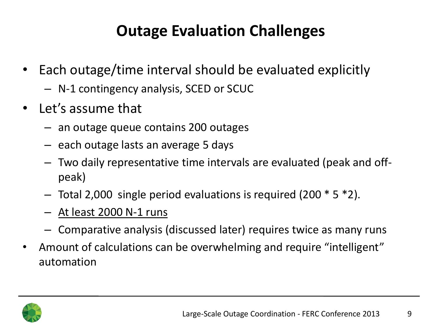# **Outage Evaluation Challenges**

- Each outage/time interval should be evaluated explicitly
	- N-1 contingency analysis, SCED or SCUC
- Let's assume that
	- an outage queue contains 200 outages
	- each outage lasts an average 5 days
	- Two daily representative time intervals are evaluated (peak and offpeak)
	- $-$  Total 2,000 single period evaluations is required (200  $*$  5  $*$ 2).
	- At least 2000 N-1 runs
	- Comparative analysis (discussed later) requires twice as many runs
- Amount of calculations can be overwhelming and require "intelligent" automation

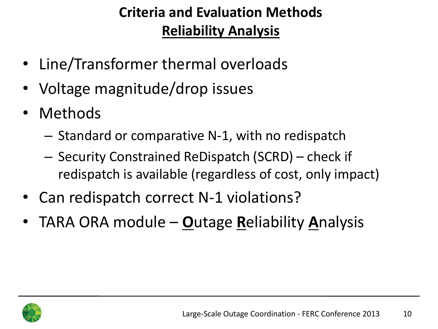#### **Criteria and Evaluation Methods Reliability Analysis**

- Line/Transformer thermal overloads
- Voltage magnitude/drop issues
- Methods
	- Standard or comparative N-1, with no redispatch
	- Security Constrained ReDispatch (SCRD) check if redispatch is available (regardless of cost, only impact)
- Can redispatch correct N-1 violations?
- TARA ORA module **O**utage **R**eliability **A**nalysis

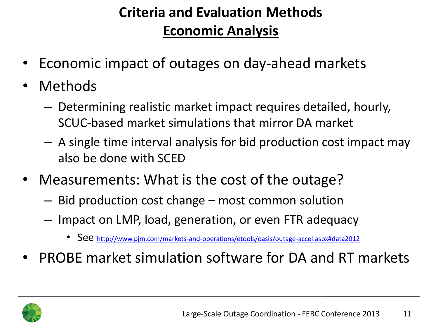#### **Criteria and Evaluation Methods Economic Analysis**

- Economic impact of outages on day-ahead markets
- **Methods** 
	- Determining realistic market impact requires detailed, hourly, SCUC-based market simulations that mirror DA market
	- A single time interval analysis for bid production cost impact may also be done with SCED
- Measurements: What is the cost of the outage?
	- Bid production cost change most common solution
	- Impact on LMP, load, generation, or even FTR adequacy
		- See http://www.pim.com/markets-and-operations/etools/oasis/outage-accel.aspx#data2012
- PROBE market simulation software for DA and RT markets

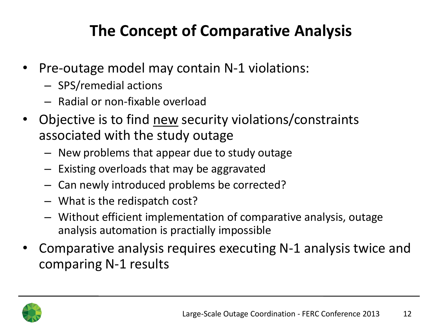# **The Concept of Comparative Analysis**

- Pre-outage model may contain N-1 violations:
	- SPS/remedial actions
	- Radial or non-fixable overload
- Objective is to find new security violations/constraints associated with the study outage
	- New problems that appear due to study outage
	- Existing overloads that may be aggravated
	- Can newly introduced problems be corrected?
	- What is the redispatch cost?
	- Without efficient implementation of comparative analysis, outage analysis automation is practially impossible
- Comparative analysis requires executing N-1 analysis twice and comparing N-1 results

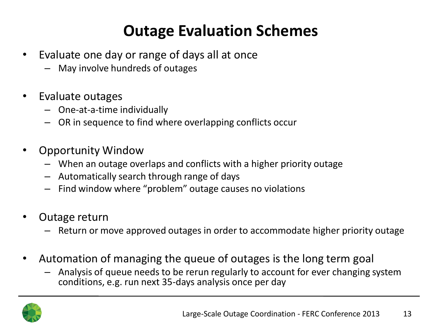# **Outage Evaluation Schemes**

- Evaluate one day or range of days all at once
	- May involve hundreds of outages
- Evaluate outages
	- One-at-a-time individually
	- OR in sequence to find where overlapping conflicts occur
- Opportunity Window
	- When an outage overlaps and conflicts with a higher priority outage
	- Automatically search through range of days
	- Find window where "problem" outage causes no violations
- Outage return
	- Return or move approved outages in order to accommodate higher priority outage
- Automation of managing the queue of outages is the long term goal
	- Analysis of queue needs to be rerun regularly to account for ever changing system conditions, e.g. run next 35-days analysis once per day

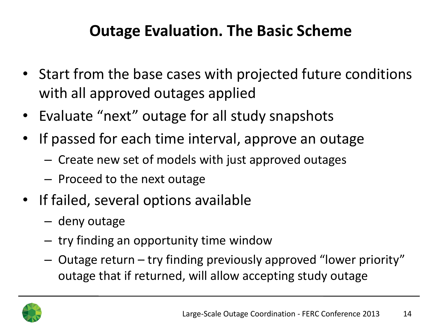### **Outage Evaluation. The Basic Scheme**

- Start from the base cases with projected future conditions with all approved outages applied
- Evaluate "next" outage for all study snapshots
- If passed for each time interval, approve an outage
	- Create new set of models with just approved outages
	- Proceed to the next outage
- If failed, several options available
	- deny outage
	- try finding an opportunity time window
	- Outage return try finding previously approved "lower priority" outage that if returned, will allow accepting study outage

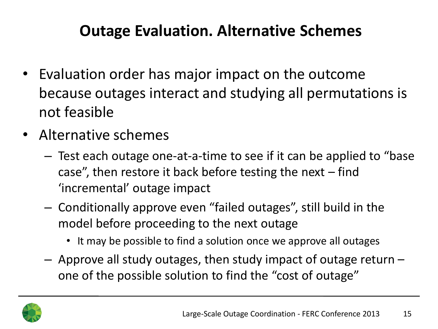### **Outage Evaluation. Alternative Schemes**

- Evaluation order has major impact on the outcome because outages interact and studying all permutations is not feasible
- Alternative schemes
	- Test each outage one-at-a-time to see if it can be applied to "base case", then restore it back before testing the next  $-$  find 'incremental' outage impact
	- Conditionally approve even "failed outages", still build in the model before proceeding to the next outage
		- It may be possible to find a solution once we approve all outages
	- Approve all study outages, then study impact of outage return one of the possible solution to find the "cost of outage"

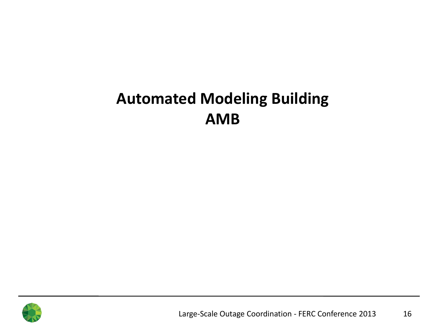# **Automated Modeling Building AMB**

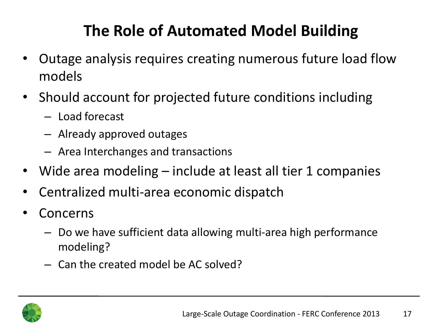# **The Role of Automated Model Building**

- Outage analysis requires creating numerous future load flow models
- Should account for projected future conditions including
	- Load forecast
	- Already approved outages
	- Area Interchanges and transactions
- Wide area modeling include at least all tier 1 companies
- Centralized multi-area economic dispatch
- **Concerns** 
	- Do we have sufficient data allowing multi-area high performance modeling?
	- Can the created model be AC solved?

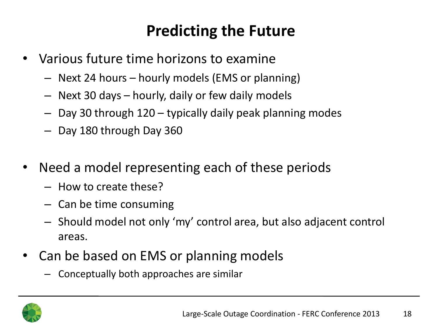# **Predicting the Future**

- Various future time horizons to examine
	- Next 24 hours hourly models (EMS or planning)
	- Next 30 days hourly, daily or few daily models
	- Day 30 through 120 typically daily peak planning modes
	- Day 180 through Day 360
- Need a model representing each of these periods
	- How to create these?
	- Can be time consuming
	- Should model not only 'my' control area, but also adjacent control areas.
- Can be based on EMS or planning models
	- Conceptually both approaches are similar

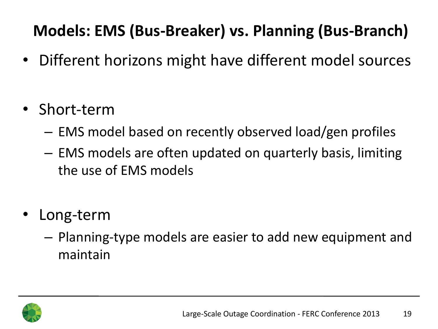# **Models: EMS (Bus-Breaker) vs. Planning (Bus-Branch)**

- Different horizons might have different model sources
- Short-term
	- EMS model based on recently observed load/gen profiles
	- EMS models are often updated on quarterly basis, limiting the use of EMS models
- Long-term
	- Planning-type models are easier to add new equipment and maintain

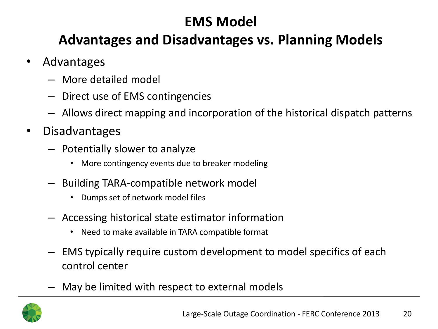#### **EMS Model**

#### **Advantages and Disadvantages vs. Planning Models**

- Advantages
	- More detailed model
	- Direct use of EMS contingencies
	- Allows direct mapping and incorporation of the historical dispatch patterns
- Disadvantages
	- Potentially slower to analyze
		- More contingency events due to breaker modeling
	- Building TARA-compatible network model
		- Dumps set of network model files
	- Accessing historical state estimator information
		- Need to make available in TARA compatible format
	- EMS typically require custom development to model specifics of each control center
	- May be limited with respect to external models

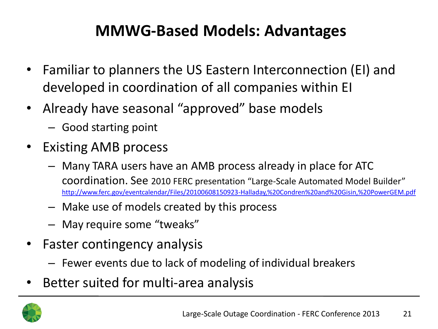## **MMWG-Based Models: Advantages**

- Familiar to planners the US Eastern Interconnection (EI) and developed in coordination of all companies within EI
- Already have seasonal "approved" base models
	- Good starting point
- Existing AMB process
	- Many TARA users have an AMB process already in place for ATC coordination. See 2010 FERC presentation "Large-Scale Automated Model Builder" [http://www.ferc.gov/eventcalendar/Files/20100608150923-Halladay,%20Condren%20and%20Gisin,%20PowerGEM.pdf](http://www.ferc.gov/eventcalendar/Files/20100608150923-Halladay, Condren and Gisin, PowerGEM.pdf)
	- Make use of models created by this process
	- May require some "tweaks"
- Faster contingency analysis
	- Fewer events due to lack of modeling of individual breakers
- Better suited for multi-area analysis

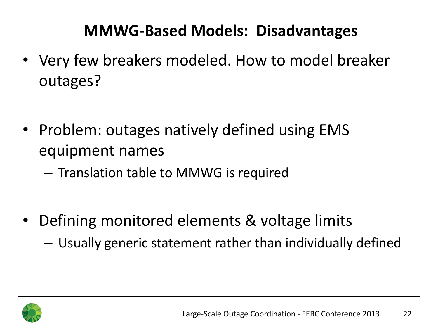## **MMWG-Based Models: Disadvantages**

- Very few breakers modeled. How to model breaker outages?
- Problem: outages natively defined using EMS equipment names
	- Translation table to MMWG is required
- Defining monitored elements & voltage limits
	- Usually generic statement rather than individually defined

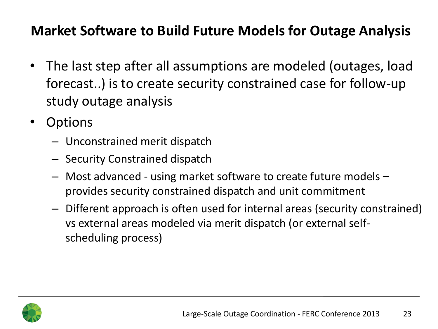#### **Market Software to Build Future Models for Outage Analysis**

- The last step after all assumptions are modeled (outages, load forecast..) is to create security constrained case for follow-up study outage analysis
- Options
	- Unconstrained merit dispatch
	- Security Constrained dispatch
	- Most advanced using market software to create future models provides security constrained dispatch and unit commitment
	- Different approach is often used for internal areas (security constrained) vs external areas modeled via merit dispatch (or external selfscheduling process)

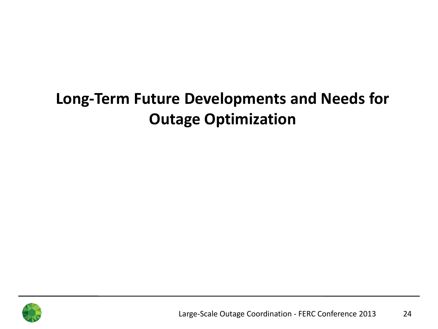# **Long-Term Future Developments and Needs for Outage Optimization**

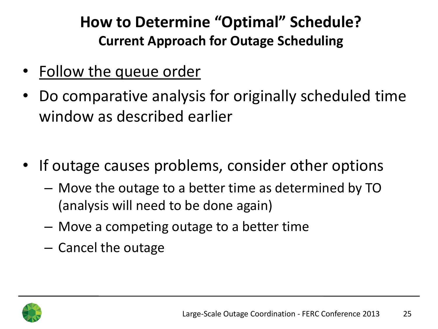## **How to Determine "Optimal" Schedule? Current Approach for Outage Scheduling**

- Follow the queue order
- Do comparative analysis for originally scheduled time window as described earlier
- If outage causes problems, consider other options
	- Move the outage to a better time as determined by TO (analysis will need to be done again)
	- Move a competing outage to a better time
	- Cancel the outage

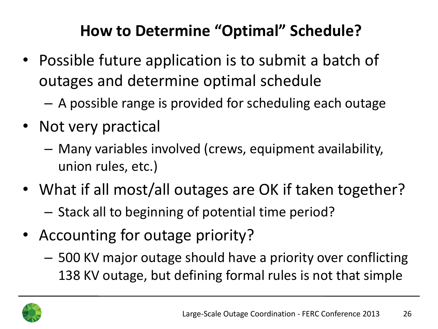# **How to Determine "Optimal" Schedule?**

- Possible future application is to submit a batch of outages and determine optimal schedule
	- A possible range is provided for scheduling each outage
- Not very practical
	- Many variables involved (crews, equipment availability, union rules, etc.)
- What if all most/all outages are OK if taken together?
	- Stack all to beginning of potential time period?
- Accounting for outage priority?
	- 500 KV major outage should have a priority over conflicting 138 KV outage, but defining formal rules is not that simple

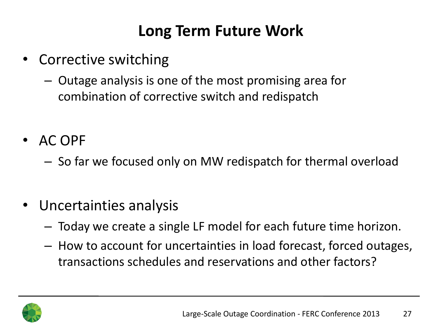## **Long Term Future Work**

- Corrective switching
	- Outage analysis is one of the most promising area for combination of corrective switch and redispatch
- AC OPF
	- So far we focused only on MW redispatch for thermal overload
- Uncertainties analysis
	- Today we create a single LF model for each future time horizon.
	- How to account for uncertainties in load forecast, forced outages, transactions schedules and reservations and other factors?

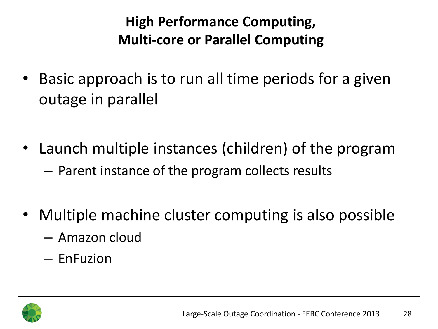#### **High Performance Computing, Multi-core or Parallel Computing**

- Basic approach is to run all time periods for a given outage in parallel
- Launch multiple instances (children) of the program – Parent instance of the program collects results
- Multiple machine cluster computing is also possible
	- Amazon cloud
	- EnFuzion

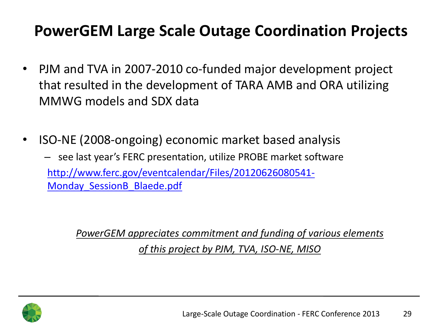## **PowerGEM Large Scale Outage Coordination Projects**

- PJM and TVA in 2007-2010 co-funded major development project that resulted in the development of TARA AMB and ORA utilizing MMWG models and SDX data
- ISO-NE (2008-ongoing) economic market based analysis
	- see last year's FERC presentation, utilize PROBE market software [http://www.ferc.gov/eventcalendar/Files/20120626080541-](http://www.ferc.gov/eventcalendar/Files/20120626080541-Monday_SessionB_Blaede.pdf) [Monday\\_SessionB\\_Blaede.pdf](http://www.ferc.gov/eventcalendar/Files/20120626080541-Monday_SessionB_Blaede.pdf)

*PowerGEM appreciates commitment and funding of various elements of this project by PJM, TVA, ISO-NE, MISO*

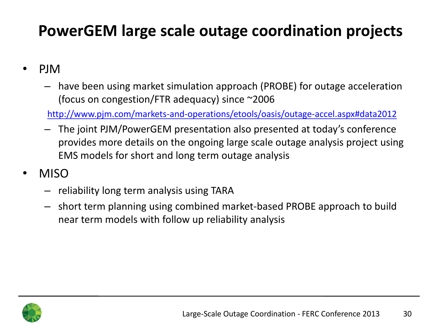# **PowerGEM large scale outage coordination projects**

- PJM
	- have been using market simulation approach (PROBE) for outage acceleration (focus on congestion/FTR adequacy) since ~2006

[http://www.pjm.com/markets-and-operations/etools/oasis/outage-accel.aspx#data2012](http://www.pjm.com/markets-and-operations/etools/oasis/outage-accel.aspx)

- The joint PJM/PowerGEM presentation also presented at today's conference provides more details on the ongoing large scale outage analysis project using EMS models for short and long term outage analysis
- MISO
	- reliability long term analysis using TARA
	- short term planning using combined market-based PROBE approach to build near term models with follow up reliability analysis

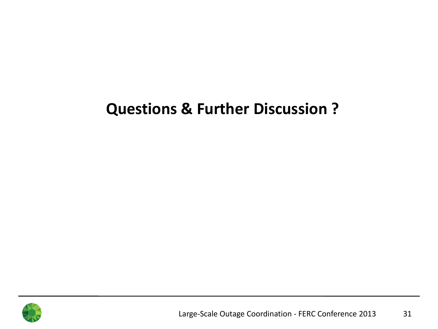#### **Questions & Further Discussion ?**

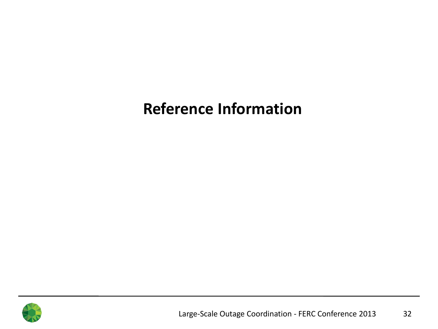#### **Reference Information**

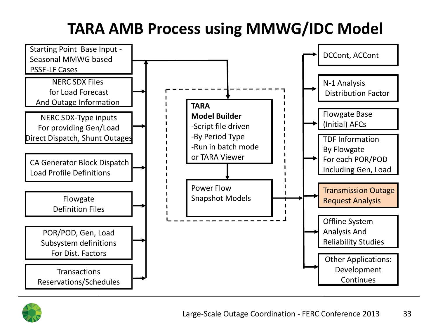# **TARA AMB Process using MMWG/IDC Model**